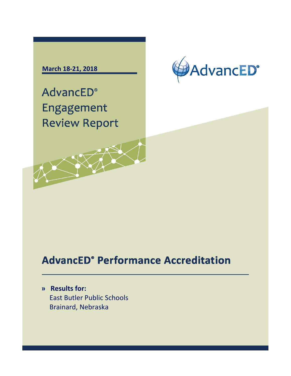# **March 18-21, 2018**



**AdvancED**<sup>®</sup> Engagement **Review Report** 

# **AdvancED° Performance Accreditation**

**» Results for:** East Butler Public Schools Brainard, Nebraska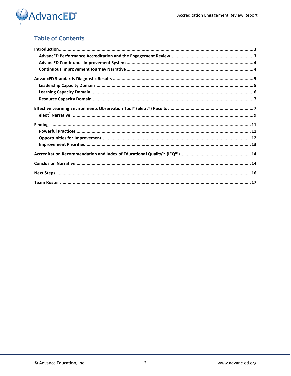

# **Table of Contents**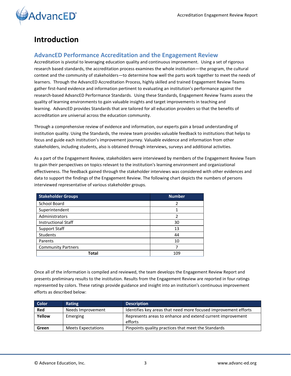

# <span id="page-2-0"></span>**Introduction**

## <span id="page-2-1"></span>**AdvancED Performance Accreditation and the Engagement Review**

Accreditation is pivotal to leveraging education quality and continuous improvement. Using a set of rigorous research based standards, the accreditation process examines the whole institution—the program, the cultural context and the community of stakeholders—to determine how well the parts work together to meet the needs of learners. Through the AdvancED Accreditation Process, highly skilled and trained Engagement Review Teams gather first-hand evidence and information pertinent to evaluating an institution's performance against the research-based AdvancED Performance Standards. Using these Standards, Engagement Review Teams assess the quality of learning environments to gain valuable insights and target improvements in teaching and learning. AdvancED provides Standards that are tailored for all education providers so that the benefits of accreditation are universal across the education community.

Through a comprehensive review of evidence and information, our experts gain a broad understanding of institution quality. Using the Standards, the review team provides valuable feedback to institutions that helps to focus and guide each institution's improvement journey. Valuable evidence and information from other stakeholders, including students, also is obtained through interviews, surveys and additional activities.

As a part of the Engagement Review, stakeholders were interviewed by members of the Engagement Review Team to gain their perspectives on topics relevant to the institution's learning environment and organizational effectiveness. The feedback gained through the stakeholder interviews was considered with other evidences and data to support the findings of the Engagement Review. The following chart depicts the numbers of persons interviewed representative of various stakeholder groups.

| <b>Stakeholder Groups</b>  | <b>Number</b>  |
|----------------------------|----------------|
| <b>School Board</b>        | 2              |
| Superintendent             |                |
| Administrators             | $\overline{2}$ |
| <b>Instructional Staff</b> | 30             |
| <b>Support Staff</b>       | 13             |
| <b>Students</b>            | 44             |
| Parents                    | 10             |
| <b>Community Partners</b>  |                |
| Total                      | 109            |

Once all of the information is compiled and reviewed, the team develops the Engagement Review Report and presents preliminary results to the institution. Results from the Engagement Review are reported in four ratings represented by colors. These ratings provide guidance and insight into an institution's continuous improvement efforts as described below:

| <b>Color</b> | Rating                    | <b>Description</b>                                                    |
|--------------|---------------------------|-----------------------------------------------------------------------|
| Red          | Needs Improvement         | Identifies key areas that need more focused improvement efforts       |
| Yellow       | Emerging                  | Represents areas to enhance and extend current improvement<br>efforts |
| Green        | <b>Meets Expectations</b> | Pinpoints quality practices that meet the Standards                   |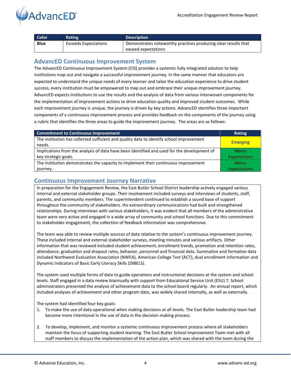

| Color.      | <b>Rating</b>        | <b>Description</b>                                             |
|-------------|----------------------|----------------------------------------------------------------|
| <b>Blue</b> | Exceeds Expectations | Demonstrates noteworthy practices producing clear results that |
|             |                      | exceed expectations                                            |

## <span id="page-3-0"></span>**AdvancED Continuous Improvement System**

The AdvancED Continuous Improvement System (CIS) provides a systemic fully integrated solution to help institutions map out and navigate a successful improvement journey. In the same manner that educators are expected to understand the unique needs of every learner and tailor the education experience to drive student success, every institution must be empowered to map out and embrace their unique improvement journey. AdvancED expects institutions to use the results and the analysis of data from various interwoven components for the implementation of improvement actions to drive education quality and improved student outcomes. While each improvement journey is unique, the journey is driven by key actions. AdvancED identifies three important components of a continuous improvement process and provides feedback on the components of the journey using a rubric that identifies the three areas to guide the improvement journey. The areas are as follows:

| <b>Commitment to Continuous Improvement</b>                                                        | <b>Rating</b>       |
|----------------------------------------------------------------------------------------------------|---------------------|
| The institution has collected sufficient and quality data to identify school improvement<br>needs. | <b>Emerging</b>     |
| Implications from the analysis of data have been identified and used for the development of        | <b>Meets</b>        |
| key strategic goals.                                                                               | <b>Expectations</b> |
| The institution demonstrates the capacity to implement their continuous improvement                | <b>Meets</b>        |
| journey.                                                                                           | <b>Expectations</b> |

## <span id="page-3-1"></span>**Continuous Improvement Journey Narrative**

In preparation for the Engagement Review, the East Butler School District leadership actively engaged various internal and external stakeholder groups. Their involvement included surveys and interviews of students, staff, parents, and community members. The superintendent continued to establish a sound base of support throughout the community of stakeholders. His extraordinary communications had built and strengthened relationships. During interviews with various stakeholders, it was evident that all members of the administrative team were very active and engaged in a wide array of community and school functions. Due to this commitment to stakeholder engagement, the collection of feedback information was comprehensive.

The team was able to review multiple sources of data relative to the system's continuous improvement journey. These included internal and external stakeholder surveys, meeting minutes and various artifacts. Other information that was reviewed included student achievement, enrollment trends, promotion and retention rates, attendance, graduation and dropout rates, behavior, personnel and financial data. Summative and formative data included Northwest Evaluation Association (NWEA), American College Test (ACT), dual enrollment information and Dynamic Indicators of Basic Early Literacy Skills (DIBELS).

The system used multiple forms of data to guide operations and instructional decisions at the system and school levels. Staff engaged in a data review biannually with support from Educational Service Unit (ESU) 7. School administrators presented the analysis of achievement data to the school board regularly. An annual report, which included analyses of achievement and other program data, was widely shared internally, as well as externally.

The system had identified four key goals:

- 1. To make the use of data operational when making decisions at all levels. The East Butler leadership team had become more intentional in the use of data in the decision-making process.
- 2. To develop, implement, and monitor a systemic continuous improvement process where all stakeholders maintain the focus of supporting student learning. The East Butler School Improvement Team met with all staff members to discuss the implementation of the action plan, which was shared with the team during the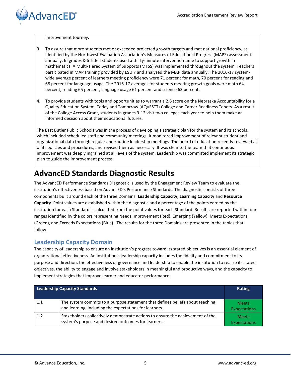Improvement Journey.

**AdvancED**<sup>®</sup>

- 3. To assure that more students met or exceeded projected growth targets and met national proficiency, as identified by the Northwest Evaluation Association's Measures of Educational Progress (MAPS) assessment annually. In grades K-6 Title I students used a thirty-minute intervention time to support growth in mathematics. A Multi-Tiered System of Supports (MTSS) was implemented throughout the system. Teachers participated in MAP training provided by ESU 7 and analyzed the MAP data annually. The 2016-17 systemwide average percent of learners meeting proficiency were 71 percent for math, 70 percent for reading and 68 percent for language usage. The 2016-17 averages for students meeting growth goals were math 64 percent, reading 65 percent, language usage 61 percent and science 63 percent.
- 4. To provide students with tools and opportunities to warrant a 2.6 score on the Nebraska Accountability for a Quality Education System, Today and Tomorrow (AQuESTT) College and Career Readiness Tenets. As a result of the College Access Grant, students in grades 9-12 visit two colleges each year to help them make an informed decision about their educational futures.

The East Butler Public Schools was in the process of developing a strategic plan for the system and its schools, which included scheduled staff and community meetings. It monitored improvement of relevant student and organizational data through regular and routine leadership meetings. The board of education recently reviewed all of its policies and procedures, and revised them as necessary. It was clear to the team that continuous improvement was deeply ingrained at all levels of the system. Leadership was committed implement its strategic plan to guide the improvement process.

# <span id="page-4-0"></span>**AdvancED Standards Diagnostic Results**

The AdvancED Performance Standards Diagnostic is used by the Engagement Review Team to evaluate the institution's effectiveness based on AdvancED's Performance Standards. The diagnostic consists of three components built around each of the three Domains: **Leadership Capacity**, **Learning Capacity** and **Resource Capacity**. Point values are established within the diagnostic and a percentage of the points earned by the institution for each Standard is calculated from the point values for each Standard. Results are reported within four ranges identified by the colors representing Needs Improvement (Red), Emerging (Yellow), Meets Expectations (Green), and Exceeds Expectations (Blue). The results for the three Domains are presented in the tables that follow.

## <span id="page-4-1"></span>**Leadership Capacity Domain**

The capacity of leadership to ensure an institution's progress toward its stated objectives is an essential element of organizational effectiveness. An institution's leadership capacity includes the fidelity and commitment to its purpose and direction, the effectiveness of governance and leadership to enable the institution to realize its stated objectives, the ability to engage and involve stakeholders in meaningful and productive ways, and the capacity to implement strategies that improve learner and educator performance.

| <b>Leadership Capacity Standards</b> |                                                                                                                                         | Rating                              |
|--------------------------------------|-----------------------------------------------------------------------------------------------------------------------------------------|-------------------------------------|
| 1.1                                  | The system commits to a purpose statement that defines beliefs about teaching<br>and learning, including the expectations for learners. | <b>Meets</b><br><b>Expectations</b> |
| 1.2                                  | Stakeholders collectively demonstrate actions to ensure the achievement of the<br>system's purpose and desired outcomes for learners.   | <b>Meets</b><br><b>Expectations</b> |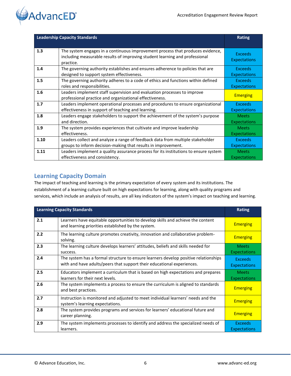

| <b>Leadership Capacity Standards</b> |                                                                                                                                                                            | <b>Rating</b>                         |
|--------------------------------------|----------------------------------------------------------------------------------------------------------------------------------------------------------------------------|---------------------------------------|
|                                      |                                                                                                                                                                            |                                       |
| 1.3                                  | The system engages in a continuous improvement process that produces evidence,<br>including measurable results of improving student learning and professional<br>practice. | <b>Exceeds</b><br><b>Expectations</b> |
| 1.4                                  | The governing authority establishes and ensures adherence to policies that are<br>designed to support system effectiveness.                                                | <b>Exceeds</b><br><b>Expectations</b> |
| 1.5                                  | The governing authority adheres to a code of ethics and functions within defined<br>roles and responsibilities.                                                            | <b>Exceeds</b><br><b>Expectations</b> |
| 1.6                                  | Leaders implement staff supervision and evaluation processes to improve<br>professional practice and organizational effectiveness.                                         | <b>Emerging</b>                       |
| 1.7                                  | Leaders implement operational processes and procedures to ensure organizational<br>effectiveness in support of teaching and learning.                                      | <b>Exceeds</b><br><b>Expectations</b> |
| 1.8                                  | Leaders engage stakeholders to support the achievement of the system's purpose<br>and direction.                                                                           | <b>Meets</b><br><b>Expectations</b>   |
| 1.9                                  | The system provides experiences that cultivate and improve leadership<br>effectiveness.                                                                                    | <b>Meets</b><br><b>Expectations</b>   |
| 1.10                                 | Leaders collect and analyze a range of feedback data from multiple stakeholder                                                                                             | <b>Exceeds</b>                        |
|                                      | groups to inform decision-making that results in improvement.                                                                                                              | <b>Expectations</b>                   |
| 1.11                                 | Leaders implement a quality assurance process for its institutions to ensure system                                                                                        | <b>Meets</b>                          |
|                                      | effectiveness and consistency.                                                                                                                                             | <b>Expectations</b>                   |

## <span id="page-5-0"></span>**Learning Capacity Domain**

The impact of teaching and learning is the primary expectation of every system and its institutions. The establishment of a learning culture built on high expectations for learning, along with quality programs and services, which include an analysis of results, are all key indicators of the system's impact on teaching and learning.

| <b>Learning Capacity Standards</b> |                                                                                                                                                               | <b>Rating</b>                         |
|------------------------------------|---------------------------------------------------------------------------------------------------------------------------------------------------------------|---------------------------------------|
| 2.1                                | Learners have equitable opportunities to develop skills and achieve the content<br>and learning priorities established by the system.                         | <b>Emerging</b>                       |
| 2.2                                | The learning culture promotes creativity, innovation and collaborative problem-<br>solving.                                                                   | <b>Emerging</b>                       |
| 2.3                                | The learning culture develops learners' attitudes, beliefs and skills needed for<br>success.                                                                  | <b>Meets</b><br><b>Expectations</b>   |
| 2.4                                | The system has a formal structure to ensure learners develop positive relationships<br>with and have adults/peers that support their educational experiences. | <b>Exceeds</b><br><b>Expectations</b> |
| 2.5                                | Educators implement a curriculum that is based on high expectations and prepares<br>learners for their next levels.                                           | <b>Meets</b><br><b>Expectations</b>   |
| 2.6                                | The system implements a process to ensure the curriculum is aligned to standards<br>and best practices.                                                       | <b>Emerging</b>                       |
| 2.7                                | Instruction is monitored and adjusted to meet individual learners' needs and the<br>system's learning expectations.                                           | <b>Emerging</b>                       |
| 2.8                                | The system provides programs and services for learners' educational future and<br>career planning.                                                            | <b>Emerging</b>                       |
| 2.9                                | The system implements processes to identify and address the specialized needs of<br>learners.                                                                 | <b>Exceeds</b><br><b>Expectations</b> |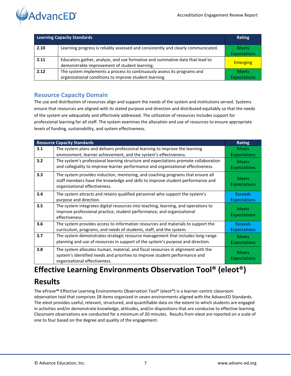

| <b>Learning Capacity Standards</b> |                                                                                                                                   | Rating                              |
|------------------------------------|-----------------------------------------------------------------------------------------------------------------------------------|-------------------------------------|
| 2.10                               | Learning progress is reliably assessed and consistently and clearly communicated.                                                 | <b>Meets</b><br><b>Expectations</b> |
| 2.11                               | Educators gather, analyze, and use formative and summative data that lead to<br>demonstrable improvement of student learning.     | <b>Emerging</b>                     |
| 2.12                               | The system implements a process to continuously assess its programs and<br>organizational conditions to improve student learning. | <b>Meets</b><br><b>Expectations</b> |

## <span id="page-6-0"></span>**Resource Capacity Domain**

The use and distribution of resources align and support the needs of the system and institutions served. Systems ensure that resources are aligned with its stated purpose and direction and distributed equitably so that the needs of the system are adequately and effectively addressed. The utilization of resources includes support for professional learning for all staff. The system examines the allocation and use of resources to ensure appropriate levels of funding, sustainability, and system effectiveness.

|     | <b>Resource Capacity Standards</b>                                                                                                                                                                 | <b>Rating</b>                         |
|-----|----------------------------------------------------------------------------------------------------------------------------------------------------------------------------------------------------|---------------------------------------|
| 3.1 | The system plans and delivers professional learning to improve the learning<br>environment, learner achievement, and the system's effectiveness.                                                   | <b>Meets</b><br><b>Expectations</b>   |
| 3.2 | The system's professional learning structure and expectations promote collaboration<br>and collegiality to improve learner performance and organizational effectiveness.                           | <b>Meets</b><br><b>Expectations</b>   |
| 3.3 | The system provides induction, mentoring, and coaching programs that ensure all<br>staff members have the knowledge and skills to improve student performance and<br>organizational effectiveness. | <b>Meets</b><br>Expectations          |
| 3.4 | The system attracts and retains qualified personnel who support the system's<br>purpose and direction.                                                                                             | <b>Exceeds</b><br>Expectations        |
| 3.5 | The system integrates digital resources into teaching, learning, and operations to<br>improve professional practice, student performance, and organizational<br>effectiveness.                     | <b>Meets</b><br><b>Expectations</b>   |
| 3.6 | The system provides access to information resources and materials to support the<br>curriculum, programs, and needs of students, staff, and the system.                                            | <b>Exceeds</b><br><b>Expectations</b> |
| 3.7 | The system demonstrates strategic resource management that includes long-range<br>planning and use of resources in support of the system's purpose and direction.                                  | <b>Meets</b><br><b>Expectations</b>   |
| 3.8 | The system allocates human, material, and fiscal resources in alignment with the<br>system's identified needs and priorities to improve student performance and<br>organizational effectiveness.   | <b>Meets</b><br>Expectations          |

# <span id="page-6-1"></span>**Effective Learning Environments Observation Tool® (eleot®)**

# **Results**

The eProve**™** Effective Learning Environments Observation Tool® (eleot®) is a learner-centric classroom observation tool that comprises 28 items organized in seven environments aligned with the AdvancED Standards. The eleot provides useful, relevant, structured, and quantifiable data on the extent to which students are engaged in activities and/or demonstrate knowledge, attitudes, and/or dispositions that are conducive to effective learning. Classroom observations are conducted for a minimum of 20 minutes. Results from eleot are reported on a scale of one to four based on the degree and quality of the engagement.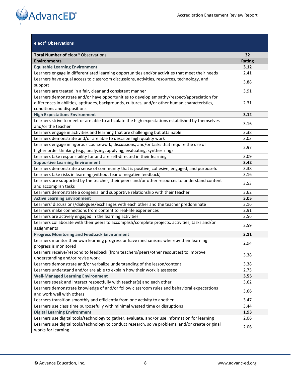

| eleot <sup>®</sup> Observations                                                                                         |               |
|-------------------------------------------------------------------------------------------------------------------------|---------------|
| Total Number of eleot <sup>®</sup> Observations                                                                         | 32            |
| <b>Environments</b>                                                                                                     | <b>Rating</b> |
| <b>Equitable Learning Environment</b>                                                                                   | 3.12          |
| Learners engage in differentiated learning opportunities and/or activities that meet their needs                        | 2.41          |
| Learners have equal access to classroom discussions, activities, resources, technology, and                             |               |
| support                                                                                                                 | 3.88          |
| Learners are treated in a fair, clear and consistent manner                                                             | 3.91          |
| Learners demonstrate and/or have opportunities to develop empathy/respect/appreciation for                              |               |
| differences in abilities, aptitudes, backgrounds, cultures, and/or other human characteristics,                         | 2.31          |
| conditions and dispositions                                                                                             |               |
| <b>High Expectations Environment</b>                                                                                    | 3.12          |
| Learners strive to meet or are able to articulate the high expectations established by themselves                       |               |
| and/or the teacher                                                                                                      | 3.16          |
| Learners engage in activities and learning that are challenging but attainable                                          | 3.38          |
| Learners demonstrate and/or are able to describe high quality work                                                      | 3.03          |
| Learners engage in rigorous coursework, discussions, and/or tasks that require the use of                               |               |
| higher order thinking (e.g., analyzing, applying, evaluating, synthesizing)                                             | 2.97          |
| Learners take responsibility for and are self-directed in their learning                                                | 3.09          |
| <b>Supportive Learning Environment</b>                                                                                  | 3.42          |
| Learners demonstrate a sense of community that is positive, cohesive, engaged, and purposeful                           | 3.38          |
| Learners take risks in learning (without fear of negative feedback)                                                     | 3.16          |
| Learners are supported by the teacher, their peers and/or other resources to understand content                         |               |
| and accomplish tasks                                                                                                    | 3.53          |
| Learners demonstrate a congenial and supportive relationship with their teacher                                         | 3.62          |
| <b>Active Learning Environment</b>                                                                                      | 3.05          |
| Learners' discussions/dialogues/exchanges with each other and the teacher predominate                                   | 3.16          |
| Learners make connections from content to real-life experiences                                                         | 2.91          |
| Learners are actively engaged in the learning activities                                                                | 3.56          |
| Learners collaborate with their peers to accomplish/complete projects, activities, tasks and/or                         | 2.59          |
| assignments                                                                                                             |               |
| <b>Progress Monitoring and Feedback Environment</b>                                                                     | 3.11          |
| Learners monitor their own learning progress or have mechanisms whereby their learning                                  | 2.94          |
| progress is monitored                                                                                                   |               |
| Learners receive/respond to feedback (from teachers/peers/other resources) to improve                                   | 3.38          |
| understanding and/or revise work                                                                                        |               |
| Learners demonstrate and/or verbalize understanding of the lesson/content                                               | 3.38          |
| Learners understand and/or are able to explain how their work is assessed                                               | 2.75          |
| <b>Well-Managed Learning Environment</b>                                                                                | 3.55          |
| Learners speak and interact respectfully with teacher(s) and each other                                                 | 3.62          |
| Learners demonstrate knowledge of and/or follow classroom rules and behavioral expectations                             | 3.66          |
| and work well with others                                                                                               |               |
| Learners transition smoothly and efficiently from one activity to another                                               | 3.47          |
| Learners use class time purposefully with minimal wasted time or disruptions                                            | 3.44          |
| <b>Digital Learning Environment</b>                                                                                     | 1.93          |
| Learners use digital tools/technology to gather, evaluate, and/or use information for learning                          | 2.06          |
| Learners use digital tools/technology to conduct research, solve problems, and/or create original<br>works for learning | 2.06          |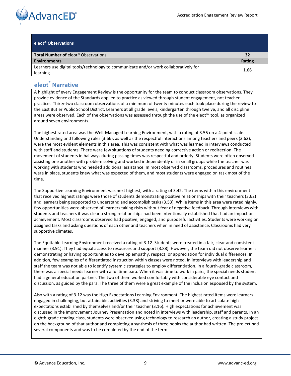

| eleot <sup>®</sup> Observations                                                                  |        |
|--------------------------------------------------------------------------------------------------|--------|
| <b>Total Number of elect<sup>®</sup> Observations</b>                                            | 32     |
| <b>Environments</b>                                                                              | Rating |
| Learners use digital tools/technology to communicate and/or work collaboratively for<br>learning | 1.66   |

## <span id="page-8-0"></span>**eleot® Narrative**

A highlight of every Engagement Review is the opportunity for the team to conduct classroom observations. They provide evidence of the Standards applied to practice as viewed through student engagement, not teacher practice. Thirty-two classroom observations of a minimum of twenty minutes each took place during the review to the East Butler Public School District. Learners at all grade levels, kindergarten through twelve, and all discipline areas were observed. Each of the observations was assessed through the use of the eleot™ tool, as organized around seven environments.

The highest rated area was the Well-Managed Learning Environment, with a rating of 3.55 on a 4-point scale. Understanding and following rules (3.66), as well as the respectful interactions among teachers and peers (3.62), were the most evident elements in this area. This was consistent with what was learned in interviews conducted with staff and students. There were few situations of students needing corrective action or redirection. The movement of students in hallways during passing times was respectful and orderly. Students were often observed assisting one another with problem solving and worked independently or in small groups while the teacher was working with students who needed additional assistance. In most observed classrooms, procedures and routines were in place, students knew what was expected of them, and most students were engaged on task most of the time.

The Supportive Learning Environment was next highest, with a rating of 3.42. The items within this environment that received highest ratings were those of students demonstrating positive relationships with their teachers (3.62) and learners being supported to understand and accomplish tasks (3.53). While items in this area were rated highly, few opportunities were observed of learners taking risks without fear of negative feedback. Through interviews with students and teachers it was clear a strong relationships had been intentionally established that had an impact on achievement. Most classrooms observed had positive, engaged, and purposeful activities. Students were working on assigned tasks and asking questions of each other and teachers when in need of assistance. Classrooms had very supportive climates.

The Equitable Learning Environment received a rating of 3.12. Students were treated in a fair, clear and consistent manner (3.91). They had equal access to resources and support (3.88). However, the team did not observe learners demonstrating or having opportunities to develop empathy, respect, or appreciation for individual differences. In addition, few examples of differentiated instruction within classes were noted. In interviews with leadership and staff the team was not able to identify systemic strategies to employ differentiation. In a fourth-grade classroom, there was a special needs learner with a fulltime para. When it was time to work in pairs, the special needs student had a general education partner. The two of them worked comfortably with considerable eye contact and discussion, as guided by the para. The three of them were a great example of the inclusion espoused by the system.

Also with a rating of 3.12 was the High Expectations Learning Environment. The highest rated items were learners engaged in challenging, but attainable, activities (3.38) and striving to meet or were able to articulate high expectations established by themselves and/or their teacher (3.16). High expectations for achievement was discussed in the Improvement Journey Presentation and noted in interviews with leadership, staff and parents. In an eighth-grade reading class, students were observed using technology to research an author, creating a study project on the background of that author and completing a synthesis of three books the author had written. The project had several components and was to be completed by the end of the term.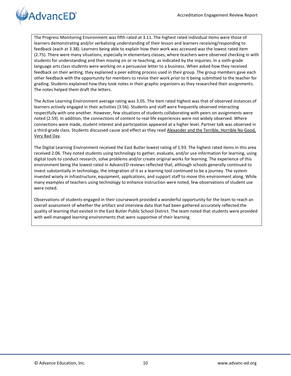

The Progress Monitoring Environment was fifth rated at 3.11. The highest rated individual items were those of learners demonstrating and/or verbalizing understanding of their lesson and learners receiving/responding to feedback (each at 3.38). Learners being able to explain how their work was accessed was the lowest rated item (2.75). There were many situations, especially in elementary classes, where teachers were observed checking in with students for understanding and then moving on or re-teaching, as indicated by the inquiries. In a sixth-grade language arts class students were working on a persuasive letter to a business. When asked how they received feedback on their writing, they explained a peer editing process used in their group. The group members gave each other feedback with the opportunity for members to revise their work prior to it being submitted to the teacher for grading. Students explained how they took notes in their graphic organizers as they researched their assignments. The notes helped them draft the letters.

The Active Learning Environment average rating was 3.05. The item rated highest was that of observed instances of learners actively engaged in their activities (3.56). Students and staff were frequently observed interacting respectfully with one another. However, few situations of students collaborating with peers on assignments were noted (2.59). In addition, the connections of content to real-life experiences were not widely observed. Where connections were made, student interest and participation appeared at a higher level. Partner talk was observed in a third-grade class. Students discussed cause and effect as they read Alexander and the Terrible, Horrible No Good, Very Bad Day.

The Digital Learning Environment received the East Butler lowest rating of 1.93. The highest rated items in this area received 2.06. They noted students using technology to gather, evaluate, and/or use information for learning, using digital tools to conduct research, solve problems and/or create original works for learning. The experience of this environment being the lowest rated in AdvancED reviews reflected that, although schools generally continued to invest substantially in technology, the integration of it as a learning tool continued to be a journey. The system invested wisely in infrastructure, equipment, applications, and support staff to move this environment along. While many examples of teachers using technology to enhance instruction were noted, few observations of student use were noted.

<span id="page-9-0"></span>Observations of students engaged in their coursework provided a wonderful opportunity for the team to reach an overall assessment of whether the artifact and interview data that had been gathered accurately reflected the quality of learning that existed in the East Butler Public School District. The team noted that students were provided with well-managed learning environments that were supportive of their learning.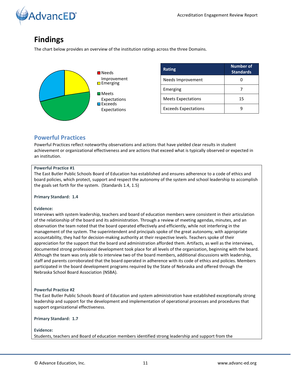

# **Findings**

The chart below provides an overview of the institution ratings across the three Domains.



| <b>Rating</b>               | <b>Number of</b><br><b>Standards</b> |
|-----------------------------|--------------------------------------|
| Needs Improvement           |                                      |
| Emerging                    |                                      |
| <b>Meets Expectations</b>   | 15                                   |
| <b>Exceeds Expectations</b> |                                      |

## <span id="page-10-0"></span>**Powerful Practices**

Powerful Practices reflect noteworthy observations and actions that have yielded clear results in student achievement or organizational effectiveness and are actions that exceed what is typically observed or expected in an institution.

#### **Powerful Practice #1**

The East Butler Public Schools Board of Education has established and ensures adherence to a code of ethics and board policies, which protect, support and respect the autonomy of the system and school leadership to accomplish the goals set forth for the system. (Standards 1.4, 1.5)

## **Primary Standard: 1.4**

#### **Evidence:**

Interviews with system leadership, teachers and board of education members were consistent in their articulation of the relationship of the board and its administration. Through a review of meeting agendas, minutes, and an observation the team noted that the board operated effectively and efficiently, while not interfering in the management of the system. The superintendent and principals spoke of the great autonomy, with appropriate accountability, they had for decision-making authority at their respective levels. Teachers spoke of their appreciation for the support that the board and administration afforded them. Artifacts, as well as the interviews, documented strong professional development took place for all levels of the organization, beginning with the board. Although the team was only able to interview two of the board members, additional discussions with leadership, staff and parents corroborated that the board operated in adherence with its code of ethics and policies. Members participated in the board development programs required by the State of Nebraska and offered through the Nebraska School Board Association (NSBA).

## **Powerful Practice #2**

The East Butler Public Schools Board of Education and system administration have established exceptionally strong leadership and support for the development and implementation of operational processes and procedures that support organizational effectiveness.

#### **Primary Standard: 1.7**

#### **Evidence:**

Students, teachers and Board of education members identified strong leadership and support from the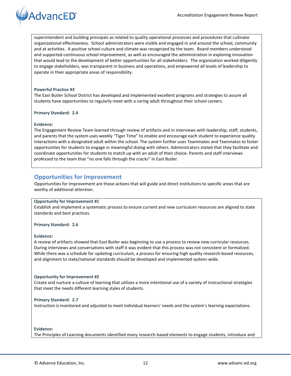

superintendent and building principals as related to quality operational processes and procedures that cultivate organizational effectiveness. School administrators were visible and engaged in and around the school, community and at activities. A positive school culture and climate was recognized by the team. Board members understood and supported continuous school improvement, as well as encouraged the administration in exploring innovation that would lead to the development of better opportunities for all stakeholders. The organization worked diligently to engage stakeholders, was transparent in business and operations, and empowered all levels of leadership to operate in their appropriate areas of responsibility.

#### **Powerful Practice #3**

The East Butler School District has developed and implemented excellent programs and strategies to assure all students have opportunities to regularly meet with a caring adult throughout their school careers.

**Primary Standard: 2.4**

#### **Evidence:**

The Engagement Review Team learned through review of artifacts and in interviews with leadership, staff, students, and parents that the system uses weekly "Tiger Time" to enable and encourage each student to experience quality interactions with a designated adult within the school. The system further uses Teammates and Teenmates to foster opportunities for students to engage in meaningful dialog with others. Administrators stated that they facilitate and coordinate opportunities for students to match up with an adult of their choice. Parents and staff interviews professed to the team that "no one falls through the cracks" in East Butler.

## <span id="page-11-0"></span>**Opportunities for Improvement**

Opportunities for Improvement are those actions that will guide and direct institutions to specific areas that are worthy of additional attention.

#### **Opportunity for Improvement #1**

Establish and implement a systematic process to ensure current and new curriculum resources are aligned to state standards and best practices.

#### **Primary Standard: 2.6**

#### **Evidence:**

A review of artifacts showed that East Butler was beginning to use a process to review new curricular resources. During interviews and conversations with staff it was evident that this process was not consistent or formalized. While there was a schedule for updating curriculum, a process for ensuring high quality research-based resources, and alignment to state/national standards should be developed and implemented system-wide.

#### **Opportunity for Improvement #2**

Create and nurture a culture of learning that utilizes a more intentional use of a variety of instructional strategies that meet the needs different learning styles of students.

#### **Primary Standard: 2.7**

Instruction is monitored and adjusted to meet individual learners' needs and the system's learning expectations.

#### **Evidence:**

The Principles of Learning documents identified many research-based elements to engage students, introduce and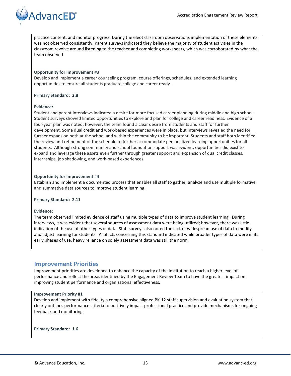

practice content, and monitor progress. During the eleot classroom observations implementation of these elements was not observed consistently. Parent surveys indicated they believe the majority of student activities in the classroom revolve around listening to the teacher and completing worksheets, which was corroborated by what the team observed.

#### **Opportunity for Improvement #3**

Develop and implement a career counseling program, course offerings, schedules, and extended learning opportunities to ensure all students graduate college and career ready.

#### **Primary Standard: 2.8**

#### **Evidence:**

Student and parent interviews indicated a desire for more focused career planning during middle and high school. Student surveys showed limited opportunities to explore and plan for college and career readiness. Evidence of a four-year plan was noted; however, the team found a clear desire from students and staff for further development. Some dual credit and work-based experiences were in place, but interviews revealed the need for further expansion both at the school and within the community to be important. Students and staff both identified the review and refinement of the schedule to further accommodate personalized learning opportunities for all students. Although strong community and school foundation support was evident, opportunities did exist to expand and leverage these assets even further through greater support and expansion of dual credit classes, internships, job shadowing, and work-based experiences.

#### **Opportunity for Improvement #4**

Establish and implement a documented process that enables all staff to gather, analyze and use multiple formative and summative data sources to improve student learning.

#### **Primary Standard: 2.11**

#### **Evidence:**

The team observed limited evidence of staff using multiple types of data to improve student learning. During interviews, it was evident that several sources of assessment data were being utilized; however, there was little indication of the use of other types of data. Staff surveys also noted the lack of widespread use of data to modify and adjust learning for students. Artifacts concerning this standard indicated while broader types of data were in its early phases of use, heavy reliance on solely assessment data was still the norm.

## <span id="page-12-0"></span>**Improvement Priorities**

Improvement priorities are developed to enhance the capacity of the institution to reach a higher level of performance and reflect the areas identified by the Engagement Review Team to have the greatest impact on improving student performance and organizational effectiveness.

#### **Improvement Priority #1**

Develop and implement with fidelity a comprehensive aligned PK-12 staff supervision and evaluation system that clearly outlines performance criteria to positively impact professional practice and provide mechanisms for ongoing feedback and monitoring.

**Primary Standard: 1.6**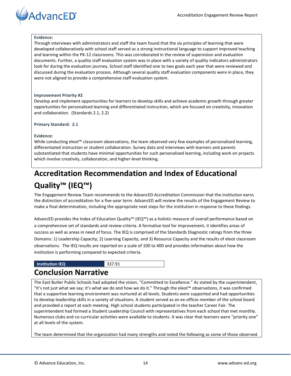

#### **Evidence:**

Through interviews with administrators and staff the team found that the six principles of learning that were developed collaboratively with school staff served as a strong instructional language to support improved teaching and learning within the PK-12 classrooms. This was corroborated in the review of supervision and evaluation documents. Further, a quality staff evaluation system was in place with a variety of quality indicators administrators look for during the evaluation journey. School staff identified one to two goals each year that were reviewed and discussed during the evaluation process. Although several quality staff evaluation components were in place, they were not aligned to provide a comprehensive staff evaluation system.

#### **Improvement Priority #2**

Develop and implement opportunities for learners to develop skills and achieve academic growth through greater opportunities for personalized learning and differentiated instruction, which are focused on creativity, innovation and collaboration. (Standards 2.1, 2.2)

#### **Primary Standard: 2.1**

#### **Evidence:**

While conducting eleot™ classroom observations, the team observed very few examples of personalized learning, differentiated instruction or student collaboration. Survey data and interviews with learners and parents substantiated that students have minimal opportunities for such personalized learning, including work on projects which involve creativity, collaboration, and higher-level thinking.

# <span id="page-13-0"></span>**Accreditation Recommendation and Index of Educational Quality™ (IEQ™)**

The Engagement Review Team recommends to the AdvancED Accreditation Commission that the institution earns the distinction of accreditation for a five-year term. AdvancED will review the results of the Engagement Review to make a final determination, including the appropriate next steps for the institution in response to these findings.

AdvancED provides the Index of Education Quality™ (IEQ™) as a holistic measure of overall performance based on a comprehensive set of standards and review criteria. A formative tool for improvement, it identifies areas of success as well as areas in need of focus. The IEQ is comprised of the Standards Diagnostic ratings from the three Domains: 1) Leadership Capacity; 2) Learning Capacity; and 3) Resource Capacity and the results of eleot classroom observations. The IEQ results are reported on a scale of 100 to 400 and provides information about how the institution is performing compared to expected criteria.

#### **Institution IEQ** 337.91

# <span id="page-13-1"></span>**Conclusion Narrative**

The East Butler Public Schools had adopted the vision, "Committed to Excellence." As stated by the superintendent, "It's not just what we say; it's what we do and how we do it." Through the eleot™ observations, it was confirmed that a supportive learning environment was nurtured at all levels. Students were supported and had opportunities to develop leadership skills in a variety of situations. A student served as an ex-officio member of the school board and provided a report at each meeting. High school students participated in the teacher Career Fair. The superintendent had formed a Student Leadership Council with representatives from each school that met monthly. Numerous clubs and co-curricular activities were available to students. It was clear that learners were "priority one" at all levels of the system.

The team determined that the organization had many strengths and noted the following as some of those observed.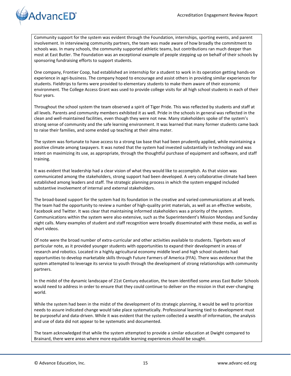# **AdvancED**<sup>®</sup>

Community support for the system was evident through the Foundation, internships, sporting events, and parent involvement. In interviewing community partners, the team was made aware of how broadly the commitment to schools was. In many schools, the community supported athletic teams, but contributions ran much deeper than most at East Butler. The Foundation was an exceptional example of people stepping up on behalf of their schools by sponsoring fundraising efforts to support students.

One company, Frontier Coop, had established an internship for a student to work in its operation getting hands-on experience in agri-business. The company hoped to encourage and assist others in providing similar experiences for students. Fieldtrips to farms were provided to elementary students to make them aware of their economic environment. The College Access Grant was used to provide college visits for all high school students in each of their four years.

Throughout the school system the team observed a spirit of Tiger Pride. This was reflected by students and staff at all levels. Parents and community members exhibited it as well. Pride in the schools in general was reflected in the clean and well-maintained facilities, even though they were not new. Many stakeholders spoke of the system's strong sense of community and the safe learning environment. It was learned that many former students came back to raise their families, and some ended up teaching at their alma mater.

The system was fortunate to have access to a strong tax base that had been prudently applied, while maintaining a positive climate among taxpayers. It was noted that the system had invested substantially in technology and was intent on maximizing its use, as appropriate, through the thoughtful purchase of equipment and software, and staff training.

It was evident that leadership had a clear vision of what they would like to accomplish. As that vision was communicated among the stakeholders, strong support had been developed. A very collaborative climate had been established among leaders and staff. The strategic planning process in which the system engaged included substantive involvement of internal and external stakeholders.

The broad-based support for the system had its foundation in the creative and varied communications at all levels. The team had the opportunity to review a number of high-quality print materials, as well as an effective website, Facebook and Twitter. It was clear that maintaining informed stakeholders was a priority of the system. Communications within the system were also extensive, such as the Superintendent's Mission Mondays and Sunday night calls. Many examples of student and staff recognition were broadly disseminated with these media, as well as short videos.

Of note were the broad number of extra-curricular and other activities available to students. Tigerbots was of particular note, as it provided younger students with opportunities to expand their development in areas of research and robotics. Located in a highly agricultural economy middle level and high school students had opportunities to develop marketable skills through Future Farmers of America (FFA). There was evidence that the system attempted to leverage its service to youth through the development of strong relationships with community partners.

In the midst of the dynamic landscape of 21st Century education, the team identified some areas East Butler Schools would need to address in order to ensure that they could continue to deliver on the mission in that ever-changing world.

While the system had been in the midst of the development of its strategic planning, it would be well to prioritize needs to assure indicated change would take place systematically. Professional learning tied to development must be purposeful and data-driven. While it was evident that the system collected a wealth of information, the analysis and use of data did not appear to be systematic and documented.

The team acknowledged that while the system attempted to provide a similar education at Dwight compared to Brainard, there were areas where more equitable learning experiences should be sought.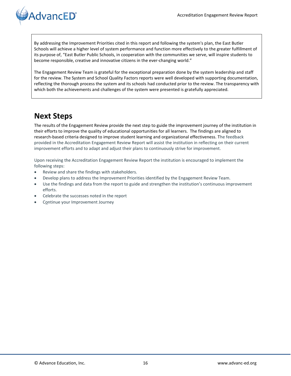

By addressing the Improvement Priorities cited in this report and following the system's plan, the East Butler Schools will achieve a higher level of system performance and function more effectively to the greater fulfillment of its purpose of, "East Butler Public Schools, in cooperation with the communities we serve, will inspire students to become responsible, creative and innovative citizens in the ever-changing world."

The Engagement Review Team is grateful for the exceptional preparation done by the system leadership and staff for the review. The System and School Quality Factors reports were well developed with supporting documentation, reflecting the thorough process the system and its schools had conducted prior to the review. The transparency with which both the achievements and challenges of the system were presented is gratefully appreciated.

# <span id="page-15-0"></span>**Next Steps**

The results of the Engagement Review provide the next step to guide the improvement journey of the institution in their efforts to improve the quality of educational opportunities for all learners. The findings are aligned to research-based criteria designed to improve student learning and organizational effectiveness. The feedback provided in the Accreditation Engagement Review Report will assist the institution in reflecting on their current improvement efforts and to adapt and adjust their plans to continuously strive for improvement.

Upon receiving the Accreditation Engagement Review Report the institution is encouraged to implement the following steps:

- Review and share the findings with stakeholders.
- Develop plans to address the Improvement Priorities identified by the Engagement Review Team.
- Use the findings and data from the report to guide and strengthen the institution's continuous improvement efforts.
- Celebrate the successes noted in the report
- <span id="page-15-1"></span>Continue your Improvement Journey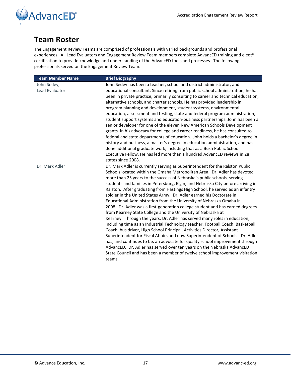

# **Team Roster**

The Engagement Review Teams are comprised of professionals with varied backgrounds and professional experiences. All Lead Evaluators and Engagement Review Team members complete AdvancED training and eleot® certification to provide knowledge and understanding of the AdvancED tools and processes. The following professionals served on the Engagement Review Team:

| <b>Team Member Name</b> | <b>Brief Biography</b>                                                                                                                                      |
|-------------------------|-------------------------------------------------------------------------------------------------------------------------------------------------------------|
| John Sedey,             | John Sedey has been a teacher, school and district administrator, and                                                                                       |
| Lead Evaluator          | educational consultant. Since retiring from public school administration, he has                                                                            |
|                         | been in private practice, primarily consulting to career and technical education,                                                                           |
|                         | alternative schools, and charter schools. He has provided leadership in                                                                                     |
|                         | program planning and development, student systems, environmental                                                                                            |
|                         | education, assessment and testing, state and federal program administration,                                                                                |
|                         | student support systems and education-business partnerships. John has been a                                                                                |
|                         | senior developer for one of the eleven New American Schools Development                                                                                     |
|                         | grants. In his advocacy for college and career readiness, he has consulted to                                                                               |
|                         | federal and state departments of education. John holds a bachelor's degree in                                                                               |
|                         | history and business, a master's degree in education administration, and has                                                                                |
|                         | done additional graduate work, including that as a Bush Public School                                                                                       |
|                         | Executive Fellow. He has led more than a hundred AdvancED reviews in 28                                                                                     |
|                         | states since 2008.                                                                                                                                          |
| Dr. Mark Adler          | Dr. Mark Adler is currently serving as Superintendent for the Ralston Public                                                                                |
|                         | Schools located within the Omaha Metropolitan Area. Dr. Adler has devoted                                                                                   |
|                         | more than 25 years to the success of Nebraska's public schools, serving                                                                                     |
|                         | students and families in Petersburg, Elgin, and Nebraska City before arriving in                                                                            |
|                         | Ralston. After graduating from Hastings High School, he served as an infantry                                                                               |
|                         | soldier in the United States Army. Dr. Adler earned his Doctorate in                                                                                        |
|                         | Educational Administration from the University of Nebraska Omaha in                                                                                         |
|                         | 2008. Dr. Adler was a first-generation college student and has earned degrees                                                                               |
|                         | from Kearney State College and the University of Nebraska at                                                                                                |
|                         | Kearney. Through the years, Dr. Adler has served many roles in education,<br>including time as an Industrial Technology teacher, Football Coach, Basketball |
|                         | Coach, bus driver, High School Principal, Activities Director, Assistant                                                                                    |
|                         | Superintendent for Fiscal Affairs and now Superintendent of Schools. Dr. Adler                                                                              |
|                         | has, and continues to be, an advocate for quality school improvement through                                                                                |
|                         | AdvancED. Dr. Adler has served over ten years on the Nebraska AdvancED                                                                                      |
|                         | State Council and has been a member of twelve school improvement visitation                                                                                 |
|                         | teams.                                                                                                                                                      |
|                         |                                                                                                                                                             |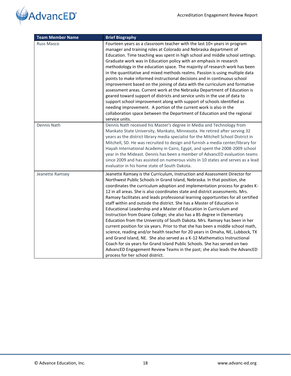



| <b>Team Member Name</b> | <b>Brief Biography</b>                                                                                                                                                                                                                                                                                                                                                                                                                                                                                                                                                                                                                                                                                                                                                                                                                                                                                                                                                                                                                                                                                                                                                   |
|-------------------------|--------------------------------------------------------------------------------------------------------------------------------------------------------------------------------------------------------------------------------------------------------------------------------------------------------------------------------------------------------------------------------------------------------------------------------------------------------------------------------------------------------------------------------------------------------------------------------------------------------------------------------------------------------------------------------------------------------------------------------------------------------------------------------------------------------------------------------------------------------------------------------------------------------------------------------------------------------------------------------------------------------------------------------------------------------------------------------------------------------------------------------------------------------------------------|
| <b>Russ Masco</b>       | Fourteen years as a classroom teacher with the last 10+ years in program<br>manager and training roles at Colorado and Nebraska department of<br>Education. Time teaching was spent in high school and middle school settings.<br>Graduate work was in Education policy with an emphasis in research<br>methodology in the education space. The majority of research work has been<br>in the quantitative and mixed methods realms. Passion is using multiple data<br>points to make informed instructional decisions and in continuous school<br>improvement based on the joining of data with the curriculum and formative<br>assessment areas. Current work at the Nebraska Department of Education is<br>geared toward support of districts and service units in the use of data to<br>support school improvement along with support of schools identified as<br>needing improvement. A portion of the current work is also in the<br>collaboration space between the Department of Education and the regional<br>service units.                                                                                                                                     |
| Dennis Nath             | Dennis Nath received his Master's degree in Media and Technology from<br>Mankato State University, Mankato, Minnesota. He retired after serving 32<br>years as the district library media specialist for the Mitchell School District in<br>Mitchell, SD. He was recruited to design and furnish a media center/library for<br>Hayah International Academy in Cairo, Egypt, and spent the 2008-2009 school<br>year in the Mideast. Dennis has been a member of AdvancED evaluation teams<br>since 2009 and has assisted on numerous visits in 10 states and serves as a lead<br>evaluator in his home state of South Dakota.                                                                                                                                                                                                                                                                                                                                                                                                                                                                                                                                             |
| Jeanette Ramsey         | Jeanette Ramsey is the Curriculum, Instruction and Assessment Director for<br>Northwest Public Schools in Grand Island, Nebraska. In that position, she<br>coordinates the curriculum adoption and implementation process for grades K-<br>12 in all areas. She is also coordinates state and district assessments. Mrs.<br>Ramsey facilitates and leads professional learning opportunities for all certified<br>staff within and outside the district. She has a Master of Education in<br>Educational Leadership and a Master of Education in Curriculum and<br>Instruction from Doane College; she also has a BS degree in Elementary<br>Education from the University of South Dakota. Mrs. Ramsey has been in her<br>current position for six years. Prior to that she has been a middle school math,<br>science, reading and/or health teacher for 20 years in Omaha, NE, Lubbock, TX<br>and Grand Island, NE. She also served as a K-12 Mathematics Instructional<br>Coach for six years for Grand Island Public Schools. She has served on two<br>AdvancED Engagement Review Teams in the past; she also leads the AdvancED<br>process for her school district. |